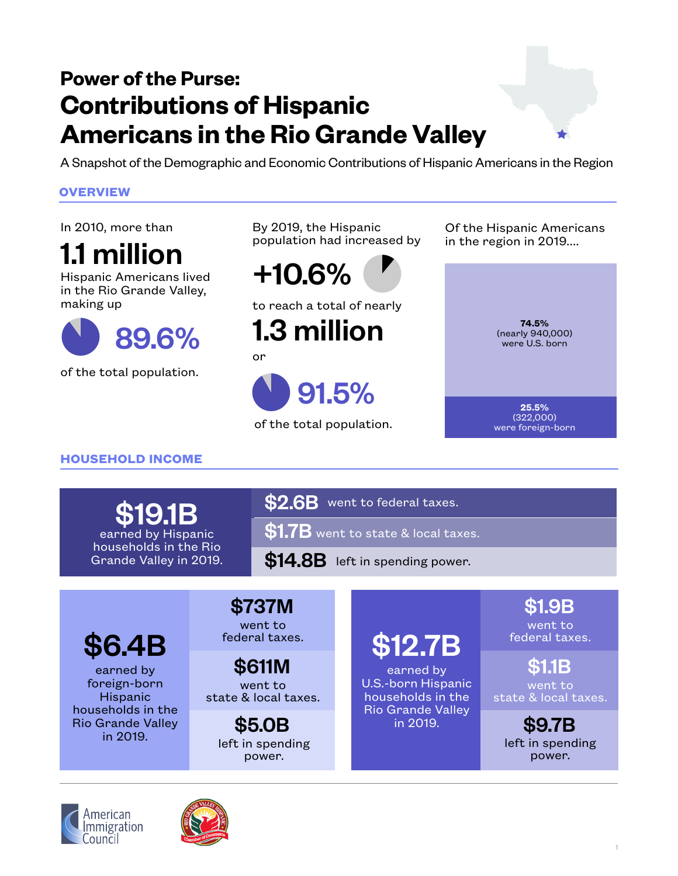# **Power of the Purse: Contributions of Hispanic Americans in the Rio Grande Valley**

A Snapshot of the Demographic and Economic Contributions of Hispanic Americans in the Region

### **OVERVIEW**

In 2010, more than

1.1 million

Hispanic Americans lived in the Rio Grande Valley, making up



of the total population.

By 2019, the Hispanic population had increased by

 $\bullet$ +10.6%

to reach a total of nearly

1.3 million

or



of the total population.

Of the Hispanic Americans in the region in 2019....



**HOUSEHOLD INCOME**

\$19.1B earned by Hispanic households in the Rio Grande Valley in 2019.  $$2.6B$  went to federal taxes.

 $$1.7B$  went to state & local taxes.

 $$14.8B$  left in spending power.

\$6.4B

earned by foreign-born Hispanic households in the Rio Grande Valley in 2019.

# \$737M \$1.9B

went to federal taxes.

went to state & local taxes. \$611M earned by \$1.1B

left in spending power.

# \$12.7B

earned by U.S.-born Hispanic households in the Rio Grande Valley in 2019. \$5.0B \$9.7B

went to federal taxes.

went to state & local taxes.

left in spending power.